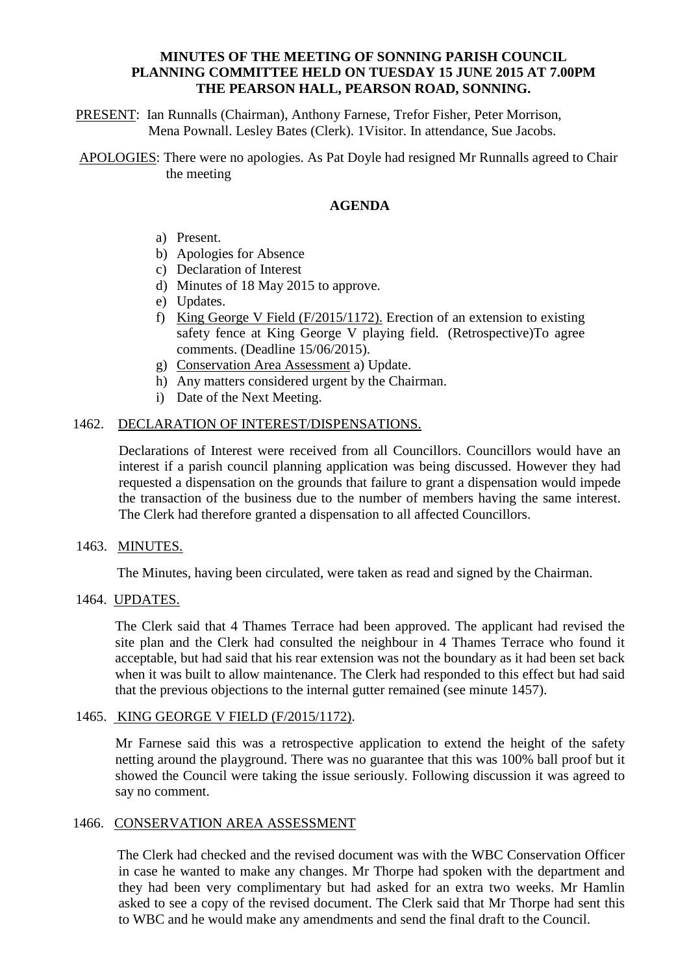## **MINUTES OF THE MEETING OF SONNING PARISH COUNCIL PLANNING COMMITTEE HELD ON TUESDAY 15 JUNE 2015 AT 7.00PM THE PEARSON HALL, PEARSON ROAD, SONNING.**

PRESENT: Ian Runnalls (Chairman), Anthony Farnese, Trefor Fisher, Peter Morrison, Mena Pownall. Lesley Bates (Clerk). 1Visitor. In attendance, Sue Jacobs.

APOLOGIES: There were no apologies. As Pat Doyle had resigned Mr Runnalls agreed to Chair the meeting

# **AGENDA**

- a) Present.
- b) Apologies for Absence
- c) Declaration of Interest
- d) Minutes of 18 May 2015 to approve.
- e) Updates.
- f) King George V Field (F/2015/1172). Erection of an extension to existing safety fence at King George V playing field. (Retrospective)To agree comments. (Deadline 15/06/2015).
- g) Conservation Area Assessment a) Update.
- h) Any matters considered urgent by the Chairman.
- i) Date of the Next Meeting.

## 1462. DECLARATION OF INTEREST/DISPENSATIONS.

Declarations of Interest were received from all Councillors. Councillors would have an interest if a parish council planning application was being discussed. However they had requested a dispensation on the grounds that failure to grant a dispensation would impede the transaction of the business due to the number of members having the same interest. The Clerk had therefore granted a dispensation to all affected Councillors.

#### 1463. MINUTES.

The Minutes, having been circulated, were taken as read and signed by the Chairman.

#### 1464. UPDATES.

The Clerk said that 4 Thames Terrace had been approved. The applicant had revised the site plan and the Clerk had consulted the neighbour in 4 Thames Terrace who found it acceptable, but had said that his rear extension was not the boundary as it had been set back when it was built to allow maintenance. The Clerk had responded to this effect but had said that the previous objections to the internal gutter remained (see minute 1457).

## 1465. KING GEORGE V FIELD (F/2015/1172).

Mr Farnese said this was a retrospective application to extend the height of the safety netting around the playground. There was no guarantee that this was 100% ball proof but it showed the Council were taking the issue seriously. Following discussion it was agreed to say no comment.

### 1466. CONSERVATION AREA ASSESSMENT

 The Clerk had checked and the revised document was with the WBC Conservation Officer in case he wanted to make any changes. Mr Thorpe had spoken with the department and they had been very complimentary but had asked for an extra two weeks. Mr Hamlin asked to see a copy of the revised document. The Clerk said that Mr Thorpe had sent this to WBC and he would make any amendments and send the final draft to the Council.